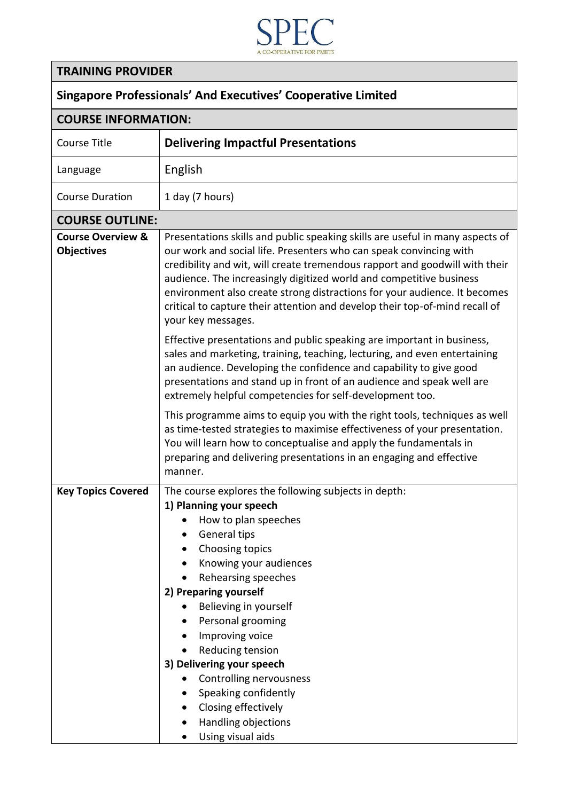

## **TRAINING PROVIDER**

## **Singapore Professionals' And Executives' Cooperative Limited**

| <b>COURSE INFORMATION:</b>                        |                                                                                                                                                                                                                                                                                                                                                                                                                                                                                             |
|---------------------------------------------------|---------------------------------------------------------------------------------------------------------------------------------------------------------------------------------------------------------------------------------------------------------------------------------------------------------------------------------------------------------------------------------------------------------------------------------------------------------------------------------------------|
| <b>Course Title</b>                               | <b>Delivering Impactful Presentations</b>                                                                                                                                                                                                                                                                                                                                                                                                                                                   |
| Language                                          | English                                                                                                                                                                                                                                                                                                                                                                                                                                                                                     |
| <b>Course Duration</b>                            | 1 day (7 hours)                                                                                                                                                                                                                                                                                                                                                                                                                                                                             |
| <b>COURSE OUTLINE:</b>                            |                                                                                                                                                                                                                                                                                                                                                                                                                                                                                             |
| <b>Course Overview &amp;</b><br><b>Objectives</b> | Presentations skills and public speaking skills are useful in many aspects of<br>our work and social life. Presenters who can speak convincing with<br>credibility and wit, will create tremendous rapport and goodwill with their<br>audience. The increasingly digitized world and competitive business<br>environment also create strong distractions for your audience. It becomes<br>critical to capture their attention and develop their top-of-mind recall of<br>your key messages. |
|                                                   | Effective presentations and public speaking are important in business,<br>sales and marketing, training, teaching, lecturing, and even entertaining<br>an audience. Developing the confidence and capability to give good<br>presentations and stand up in front of an audience and speak well are<br>extremely helpful competencies for self-development too.                                                                                                                              |
|                                                   | This programme aims to equip you with the right tools, techniques as well<br>as time-tested strategies to maximise effectiveness of your presentation.<br>You will learn how to conceptualise and apply the fundamentals in<br>preparing and delivering presentations in an engaging and effective<br>manner.                                                                                                                                                                               |
| <b>Key Topics Covered</b>                         | The course explores the following subjects in depth:                                                                                                                                                                                                                                                                                                                                                                                                                                        |
|                                                   | 1) Planning your speech                                                                                                                                                                                                                                                                                                                                                                                                                                                                     |
|                                                   | How to plan speeches                                                                                                                                                                                                                                                                                                                                                                                                                                                                        |
|                                                   | <b>General tips</b>                                                                                                                                                                                                                                                                                                                                                                                                                                                                         |
|                                                   | Choosing topics                                                                                                                                                                                                                                                                                                                                                                                                                                                                             |
|                                                   | Knowing your audiences                                                                                                                                                                                                                                                                                                                                                                                                                                                                      |
|                                                   | Rehearsing speeches<br>2) Preparing yourself                                                                                                                                                                                                                                                                                                                                                                                                                                                |
|                                                   | Believing in yourself                                                                                                                                                                                                                                                                                                                                                                                                                                                                       |
|                                                   | Personal grooming                                                                                                                                                                                                                                                                                                                                                                                                                                                                           |
|                                                   | Improving voice                                                                                                                                                                                                                                                                                                                                                                                                                                                                             |
|                                                   | Reducing tension                                                                                                                                                                                                                                                                                                                                                                                                                                                                            |
|                                                   | 3) Delivering your speech                                                                                                                                                                                                                                                                                                                                                                                                                                                                   |
|                                                   | Controlling nervousness                                                                                                                                                                                                                                                                                                                                                                                                                                                                     |
|                                                   | Speaking confidently                                                                                                                                                                                                                                                                                                                                                                                                                                                                        |
|                                                   | Closing effectively                                                                                                                                                                                                                                                                                                                                                                                                                                                                         |
|                                                   | Handling objections                                                                                                                                                                                                                                                                                                                                                                                                                                                                         |
|                                                   | Using visual aids                                                                                                                                                                                                                                                                                                                                                                                                                                                                           |